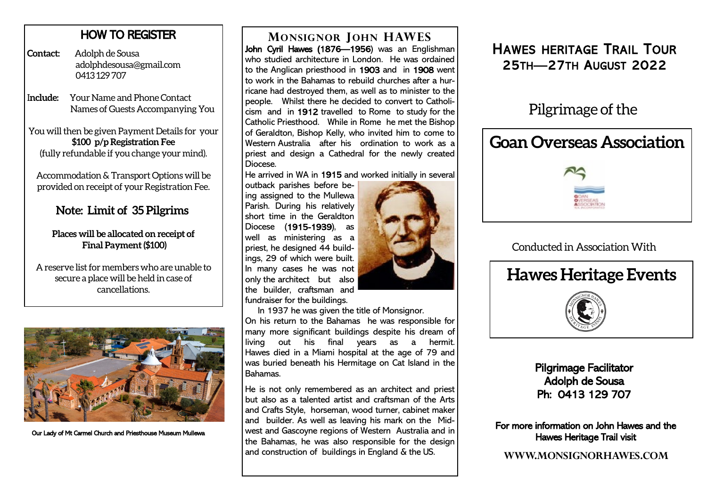## HOW TO REGISTER

**Contact:** Adolph de Sousa adolphdesousa@gmail.com 0413 129 707

I**nclude:** Your Name and Phone Contact Names of Guests Accompanying You

You will then be given Payment Details for your **\$100 p/p Registration Fee**  (fully refundable if you change your mind).

Accommodation & Transport Options will be provided on receipt of your Registration Fee.

## **Note: Limit of 35 Pilgrims**

#### **Places will be allocated on receipt of Final Payment (\$100)**

A reserve list for members who are unable to secure a place will be held in case of cancellations.



Our Lady of Mt Carmel Church and Priesthouse Museum Mullewa

## **MONSIGNOR JOHN HAWES**

John Cyril Hawes (1876—1956) was an Englishman who studied architecture in London. He was ordained to the Anglican priesthood in 1903 and in 1908 went to work in the Bahamas to rebuild churches after a hurricane had destroyed them, as well as to minister to the people. Whilst there he decided to convert to Catholicism and in 1912 travelled to Rome to study for the Catholic Priesthood. While in Rome he met the Bishop of Geraldton, Bishop Kelly, who invited him to come to Western Australia after his ordination to work as a priest and design a Cathedral for the newly created Diocese.

He arrived in WA in 1915 and worked initially in several

outback parishes before being assigned to the Mullewa Parish. During his relatively short time in the Geraldton Diocese (1915-1939), as well as ministering as a priest, he designed 44 buildings, 29 of which were built. In many cases he was not only the architect but also the builder, craftsman and fundraiser for the buildings.



In 1937 he was given the title of Monsignor.

On his return to the Bahamas he was responsible for many more significant buildings despite his dream of living out his final years as a hermit. Hawes died in a Miami hospital at the age of 79 and was buried beneath his Hermitage on Cat Island in the Bahamas.

He is not only remembered as an architect and priest but also as a talented artist and craftsman of the Arts and Crafts Style, horseman, wood turner, cabinet maker and builder. As well as leaving his mark on the Midwest and Gascoyne regions of Western Australia and in the Bahamas, he was also responsible for the design and construction of buildings in England & the US.

## HAWES HERITAGE TRAIL TOUR 25TH—27TH AUGUST 2022

# Pilgrimage of the

# **Goan Overseas Association**

### Conducted in Association With



Pilgrimage Facilitator Adolph de Sousa Ph: 0413 129 707

For more information on John Hawes and the Hawes Heritage Trail visit

**WWW.MONSIGNORHAWES.COM**